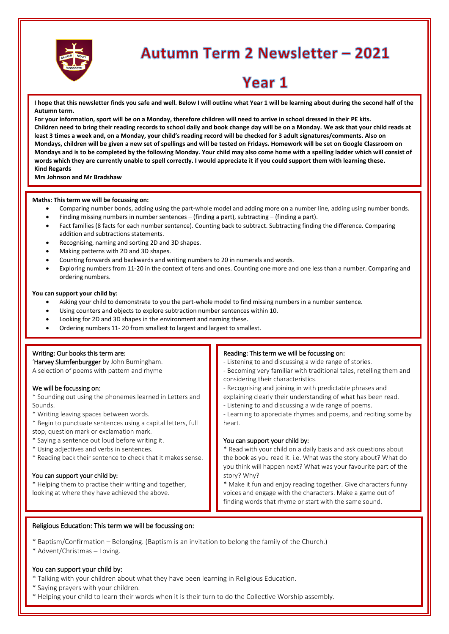

# Autumn Term 2 Newsletter - 2021

# Year 1

**I hope that this newsletter finds you safe and well. Below I will outline what Year 1 will be learning about during the second half of the Autumn term.** 

**For your information, sport will be on a Monday, therefore children will need to arrive in school dressed in their PE kits. Children need to bring their reading records to school daily and book change day will be on a Monday. We ask that your child reads at least 3 times a week and, on a Monday, your child's reading record will be checked for 3 adult signatures/comments. Also on Mondays, children will be given a new set of spellings and will be tested on Fridays. Homework will be set on Google Classroom on Mondays and is to be completed by the following Monday. Your child may also come home with a spelling ladder which will consist of words which they are currently unable to spell correctly. I would appreciate it if you could support them with learning these. Kind Regards**

**Mrs Johnson and Mr Bradshaw**

#### **Maths: This term we will be focussing on:**

- Comparing number bonds, adding using the part-whole model and adding more on a number line, adding using number bonds.
- Finding missing numbers in number sentences (finding a part), subtracting (finding a part).
- Fact families (8 facts for each number sentence). Counting back to subtract. Subtracting finding the difference. Comparing addition and subtractions statements.
- Recognising, naming and sorting 2D and 3D shapes.
- Making patterns with 2D and 3D shapes.
- Counting forwards and backwards and writing numbers to 20 in numerals and words.
- Exploring numbers from 11-20 in the context of tens and ones. Counting one more and one less than a number. Comparing and ordering numbers.

#### **You can support your child by:**

- Asking your child to demonstrate to you the part-whole model to find missing numbers in a number sentence.
- Using counters and objects to explore subtraction number sentences within 10.
- Looking for 2D and 3D shapes in the environment and naming these.
- Ordering numbers 11- 20 from smallest to largest and largest to smallest.

### Writing: Our books this term are:

'Harvey Slumfenburgger by John Burningham. A selection of poems with pattern and rhyme

### We will be focussing on:

\* Sounding out using the phonemes learned in Letters and Sounds.

- \* Writing leaving spaces between words.
- \* Begin to punctuate sentences using a capital letters, full stop, question mark or exclamation mark.
- \* Saying a sentence out loud before writing it.
- \* Using adjectives and verbs in sentences.
- \* Reading back their sentence to check that it makes sense.

### You can support your child by:

\* Helping them to practise their writing and together, looking at where they have achieved the above.

### Reading: This term we will be focussing on:

- Listening to and discussing a wide range of stories.
- Becoming very familiar with traditional tales, retelling them and considering their characteristics.

- Recognising and joining in with predictable phrases and

- explaining clearly their understanding of what has been read.
- Listening to and discussing a wide range of poems.
- Learning to appreciate rhymes and poems, and reciting some by heart.

### You can support your child by:

\* Read with your child on a daily basis and ask questions about the book as you read it. i.e. What was the story about? What do you think will happen next? What was your favourite part of the story? Why?

\* Make it fun and enjoy reading together. Give characters funny voices and engage with the characters. Make a game out of finding words that rhyme or start with the same sound.

### Religious Education: This term we will be focussing on:

- \* Baptism/Confirmation Belonging. (Baptism is an invitation to belong the family of the Church.)
- \* Advent/Christmas Loving.

### You can support your child by:

- \* Talking with your children about what they have been learning in Religious Education.
- \* Saying prayers with your children.
- Helping your child to learn their words when it is their turn to do the Collective Worship assembly.